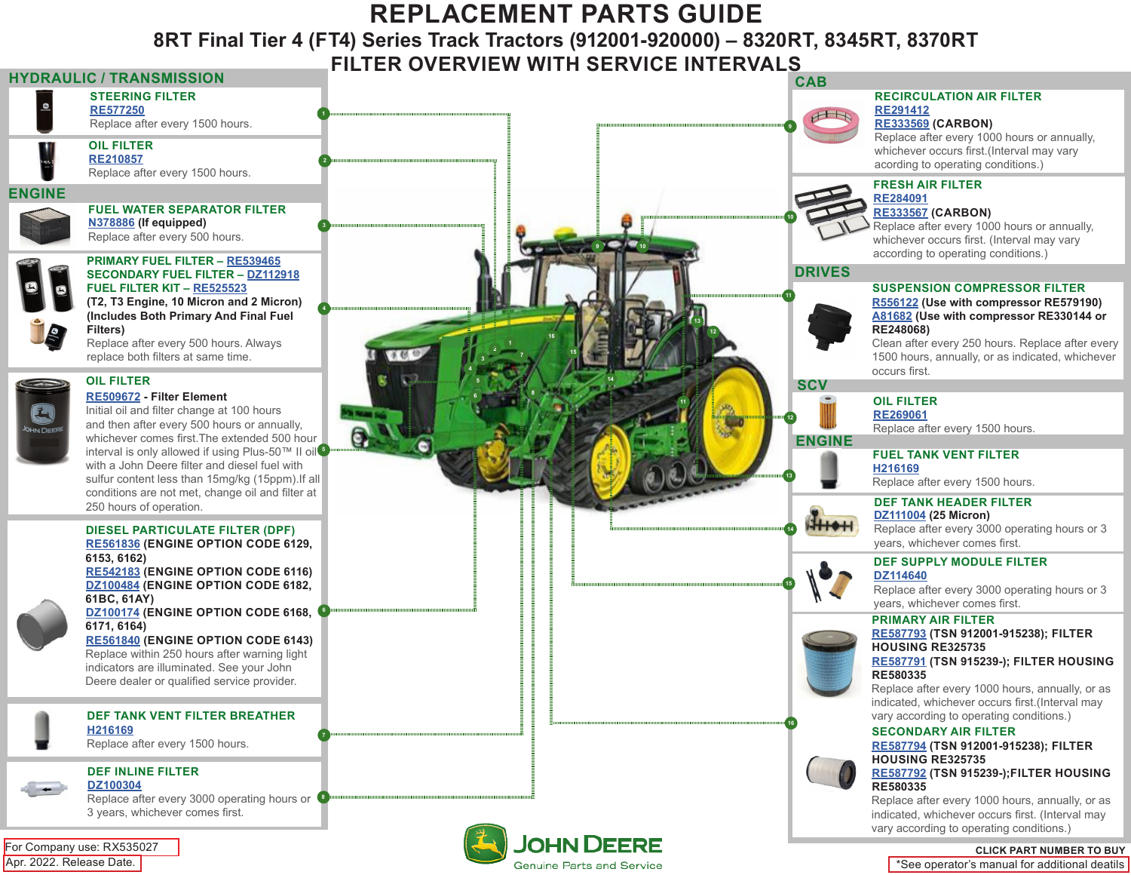# **REPLACEMENT PARTS GUIDE**

**8RT Final Tier 4 (FT4) Series Track Tractors (912001-920000) – 8320RT, 8345RT, 8370RT**

### **FILTER OVERVIEW WITH SERVICE INTERVALS**



**Genuine Parts and Service** 

\*See operator's manual for additional deatils

Apr. 2022. Release Date.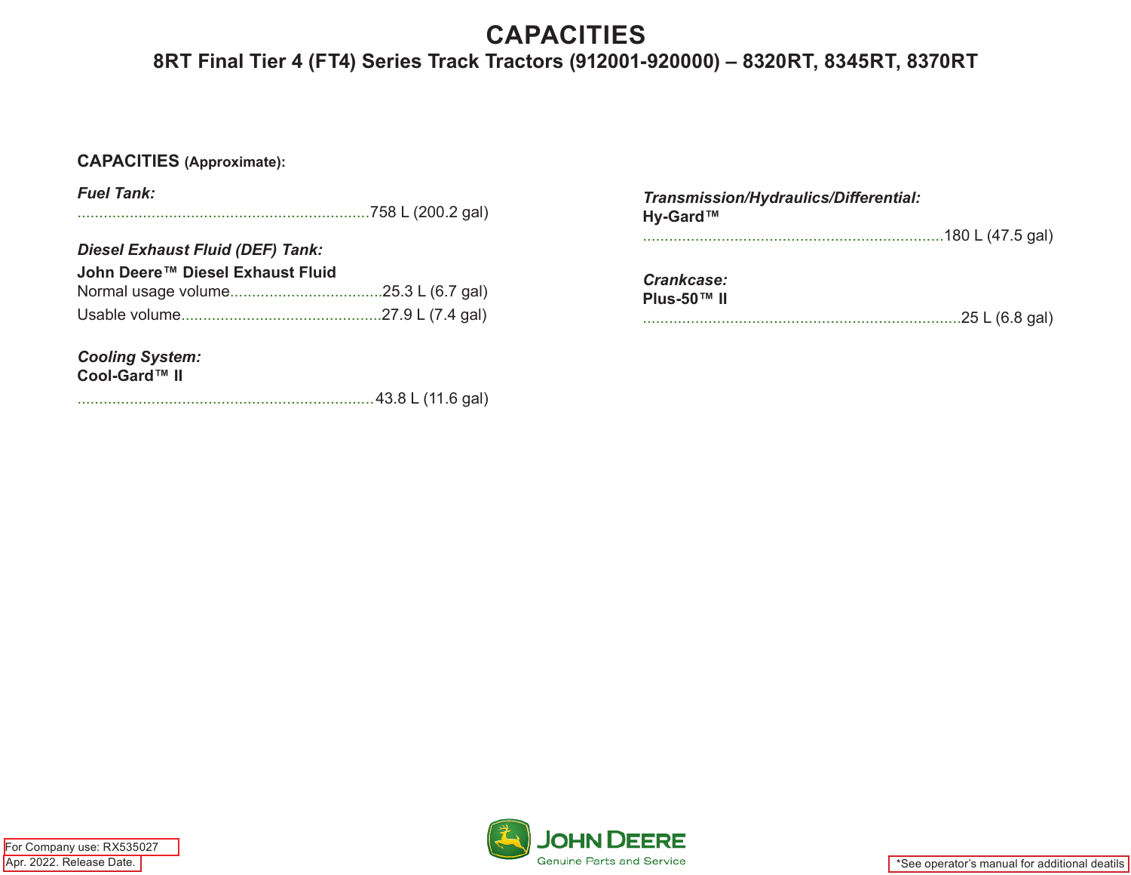# **CAPACITIES**

## **8RT Final Tier 4 (FT4) Series Track Tractors (912001-920000) – 8320RT, 8345RT, 8370RT**

#### **CAPACITIES (Approximate):**

| <b>Fuel Tank:</b>                                                           | Transmission/Hydraulics/Differential:<br>Hy-Gard™ |
|-----------------------------------------------------------------------------|---------------------------------------------------|
| <b>Diesel Exhaust Fluid (DEF) Tank:</b><br>John Deere™ Diesel Exhaust Fluid | Crankcase:<br>Plus-50™ II<br>.25 L (6.8 gal)      |
| <b>Cooling System:</b><br>Cool-Gard™ II                                     |                                                   |